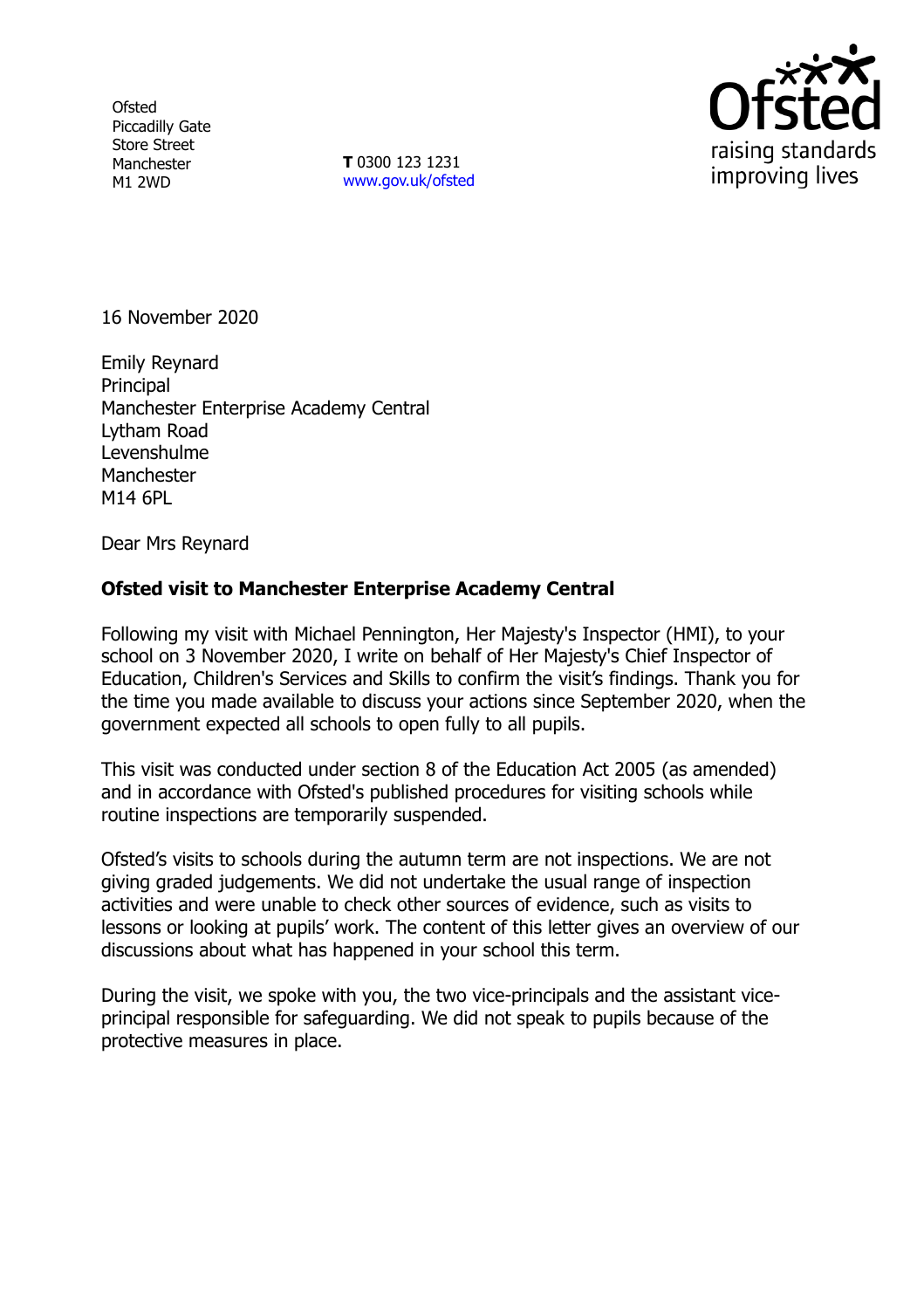**Ofsted** Piccadilly Gate Store Street Manchester M1 2WD

**T** 0300 123 1231 [www.gov.uk/ofsted](http://www.gov.uk/ofsted)



16 November 2020

Emily Reynard **Principal** Manchester Enterprise Academy Central Lytham Road Levenshulme **Manchester** M14 6PL

Dear Mrs Reynard

## **Ofsted visit to Manchester Enterprise Academy Central**

Following my visit with Michael Pennington, Her Majesty's Inspector (HMI), to your school on 3 November 2020, I write on behalf of Her Majesty's Chief Inspector of Education, Children's Services and Skills to confirm the visit's findings. Thank you for the time you made available to discuss your actions since September 2020, when the government expected all schools to open fully to all pupils.

This visit was conducted under section 8 of the Education Act 2005 (as amended) and in accordance with Ofsted's published procedures for visiting schools while routine inspections are temporarily suspended.

Ofsted's visits to schools during the autumn term are not inspections. We are not giving graded judgements. We did not undertake the usual range of inspection activities and were unable to check other sources of evidence, such as visits to lessons or looking at pupils' work. The content of this letter gives an overview of our discussions about what has happened in your school this term.

During the visit, we spoke with you, the two vice-principals and the assistant viceprincipal responsible for safeguarding. We did not speak to pupils because of the protective measures in place.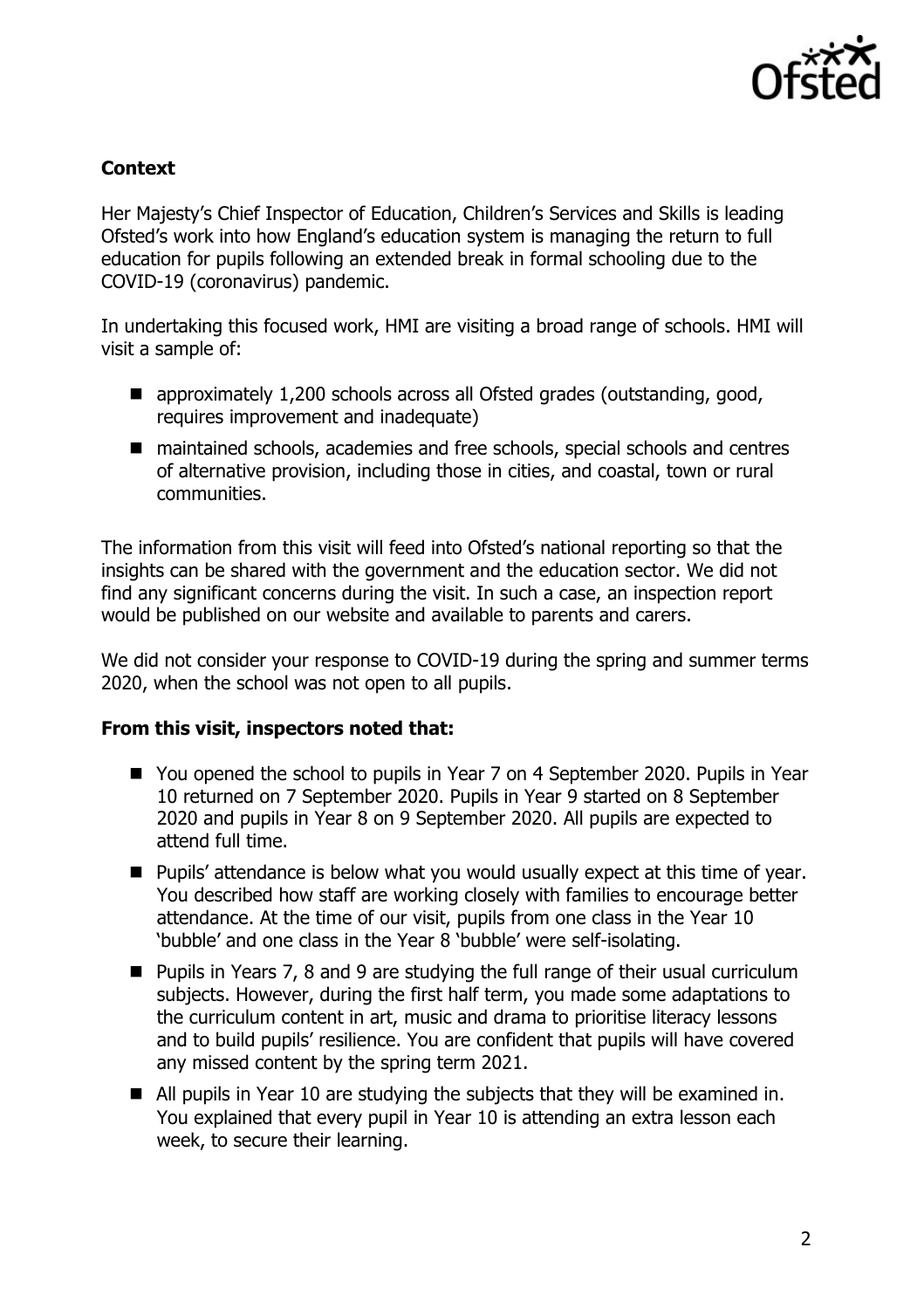

## **Context**

Her Majesty's Chief Inspector of Education, Children's Services and Skills is leading Ofsted's work into how England's education system is managing the return to full education for pupils following an extended break in formal schooling due to the COVID-19 (coronavirus) pandemic.

In undertaking this focused work, HMI are visiting a broad range of schools. HMI will visit a sample of:

- approximately 1,200 schools across all Ofsted grades (outstanding, good, requires improvement and inadequate)
- maintained schools, academies and free schools, special schools and centres of alternative provision, including those in cities, and coastal, town or rural communities.

The information from this visit will feed into Ofsted's national reporting so that the insights can be shared with the government and the education sector. We did not find any significant concerns during the visit. In such a case, an inspection report would be published on our website and available to parents and carers.

We did not consider your response to COVID-19 during the spring and summer terms 2020, when the school was not open to all pupils.

## **From this visit, inspectors noted that:**

- You opened the school to pupils in Year 7 on 4 September 2020. Pupils in Year 10 returned on 7 September 2020. Pupils in Year 9 started on 8 September 2020 and pupils in Year 8 on 9 September 2020. All pupils are expected to attend full time.
- Pupils' attendance is below what you would usually expect at this time of year. You described how staff are working closely with families to encourage better attendance. At the time of our visit, pupils from one class in the Year 10 'bubble' and one class in the Year 8 'bubble' were self-isolating.
- Pupils in Years 7, 8 and 9 are studying the full range of their usual curriculum subjects. However, during the first half term, you made some adaptations to the curriculum content in art, music and drama to prioritise literacy lessons and to build pupils' resilience. You are confident that pupils will have covered any missed content by the spring term 2021.
- All pupils in Year 10 are studying the subjects that they will be examined in. You explained that every pupil in Year 10 is attending an extra lesson each week, to secure their learning.